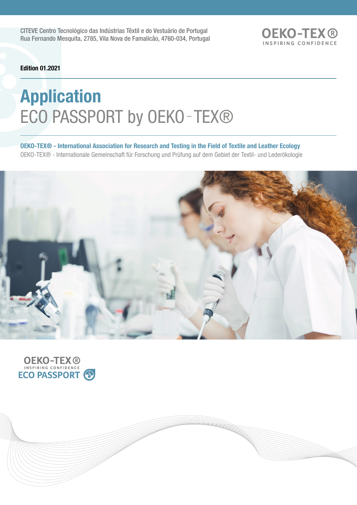CITEVE Centro Tecnológico das Indústrias Têxtil e do Vestuário de Portugal Rua Fernando Mesquita, 2785, Vila Nova de Famalicão, 4760-034, Portugal **OEKO-TEX®** INSPIRING CONFIDENCE

Edition 01.2021

# Application ECO PASSPORT by OEKO-TEX®

OEKO-TEX® - International Association for Research and Testing in the Field of Textile and Leather Ecology OEKO-TEX® - Internationale Gemeinschaft für Forschung und Prüfung auf dem Gebiet der Textil- und Lederökologie



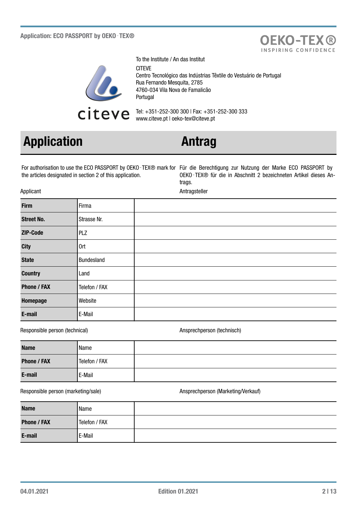

To the Institute / An das Institut **CITEVE** Centro Tecnológico das Indústrias Têxtile do Vestuário de Portugal Rua Fernando Mesquita, 2785 4760-034 Vila Nova de Famalicão Portugal

Tel: +351-252-300 300 | Fax: +351-252-300 333 www.citeve.pt | oeko-tex@citeve.pt

## Application **Antrag**

the articles designated in section 2 of this application.

For authorisation to use the ECO PASSPORT by OEKO‑TEX® mark for Für die Berechtigung zur Nutzung der Marke ECO PASSPORT by OEKO‑TEX® für die in Abschnitt 2 bezeichneten Artikel dieses Antrags.

**OEKO-TEX®** INSPIRING CONFIDENCE

Applicant Antragsteller

| <b>Firm</b>        | Firma         |  |
|--------------------|---------------|--|
| <b>Street No.</b>  | Strasse Nr.   |  |
| ZIP-Code           | PLZ           |  |
| <b>City</b>        | 0rt           |  |
| <b>State</b>       | Bundesland    |  |
| <b>Country</b>     | Land          |  |
| <b>Phone / FAX</b> | Telefon / FAX |  |
| Homepage           | Website       |  |
| E-mail             | E-Mail        |  |

Responsible person (technical) and a series of the Ansprechperson (technisch)

| <b>Name</b>        | Name          |  |
|--------------------|---------------|--|
| <b>Phone / FAX</b> | Telefon / FAX |  |
| E-mail             | E-Mail        |  |

### Responsible person (marketing/sale) and a metal of the Ansprechperson (Marketing/Verkauf)

| <b>Name</b>        | Name          |  |
|--------------------|---------------|--|
| <b>Phone / FAX</b> | Telefon / FAX |  |
| E-mail             | E-Mail        |  |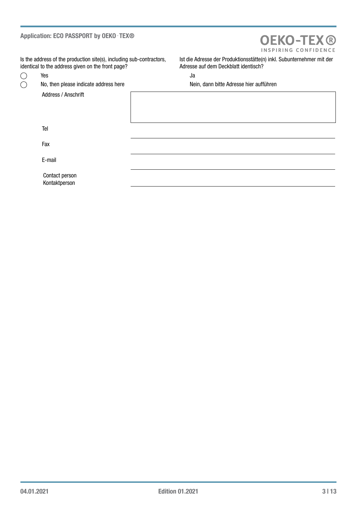### Application: ECO PASSPORT by OEKO - TEX®

## **OEKO-TEX®** INSPIRING CONFIDENCE

Is the address of the production site(s), including sub-contractors, identical to the address given on the front page?

 $\bigcirc$  $\overline{O}$ 

Address / Anschrift

Ist die Adresse der Produktionsstätte(n) inkl. Subunternehmer mit der Adresse auf dem Deckblatt identisch?

Yes January 2016 and 2017 and 2018 and 2018 and 2018 and 2018 and 2018 and 2018 and 2018 and 2018 and 2018 and

No, then please indicate address here Nein, dann bitte Adresse hier aufführen

Tel

Fax

E-mail

Contact person Kontaktperson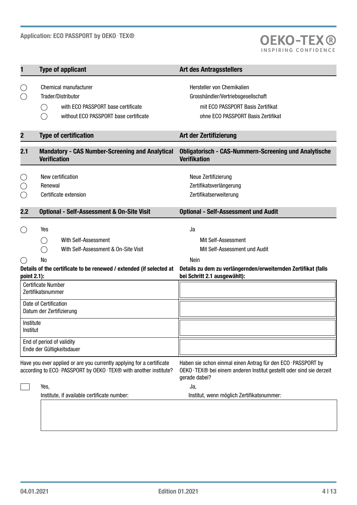

| 1                                                                               | <b>Type of applicant</b>                                                                                                                                                                       | <b>Art des Antragsstellers</b>                                                                                                                                                                            |
|---------------------------------------------------------------------------------|------------------------------------------------------------------------------------------------------------------------------------------------------------------------------------------------|-----------------------------------------------------------------------------------------------------------------------------------------------------------------------------------------------------------|
| U                                                                               | Chemical manufacturer<br>Trader/Distributor<br>with ECO PASSPORT base certificate<br>( )<br>without ECO PASSPORT base certificate                                                              | Hersteller von Chemikalien<br>Grosshändler/Vertriebsgesellschaft<br>mit ECO PASSPORT Basis Zertifikat<br>ohne ECO PASSPORT Basis Zertifikat                                                               |
| $\overline{\mathbf{2}}$                                                         | <b>Type of certification</b>                                                                                                                                                                   | Art der Zertifizierung                                                                                                                                                                                    |
| 2.1                                                                             | <b>Mandatory - CAS Number-Screening and Analytical</b><br><b>Verification</b>                                                                                                                  | <b>Obligatorisch - CAS-Nummern-Screening und Analytische</b><br><b>Verifikation</b>                                                                                                                       |
| C                                                                               | New certification<br>Renewal<br>Certificate extension                                                                                                                                          | Neue Zertifizierung<br>Zertifikatsverlängerung<br>Zertifikatserweiterung                                                                                                                                  |
| 2.2                                                                             | <b>Optional - Self-Assessment &amp; On-Site Visit</b>                                                                                                                                          | <b>Optional - Self-Assessment und Audit</b>                                                                                                                                                               |
| ( )<br>$(\quad)$<br>point 2.1):                                                 | Yes<br>With Self-Assessment<br>Ο.<br>With Self-Assessment & On-Site Visit<br>No<br>Details of the certificate to be renewed / extended (if selected at                                         | Ja<br>Mit Self-Assessment<br>Mit Self-Assessment und Audit<br>Nein<br>Details zu dem zu verlängernden/erweiternden Zertifikat (falls<br>bei Schritt 2.1 ausgewählt):                                      |
|                                                                                 | <b>Certificate Number</b><br>Zertifikatsnummer<br>Date of Certification<br>Datum der Zertifizierung                                                                                            |                                                                                                                                                                                                           |
| Institute<br>Institut<br>End of period of validity<br>Ende der Gültigkeitsdauer |                                                                                                                                                                                                |                                                                                                                                                                                                           |
|                                                                                 | Have you ever applied or are you currently applying for a certificate<br>according to ECO-PASSPORT by OEKO-TEX® with another institute?<br>Yes,<br>Institute, if available certificate number: | Haben sie schon einmal einen Antrag für den ECO-PASSPORT by<br>OEKO - TEX® bei einem anderen Institut gestellt oder sind sie derzeit<br>gerade dabei?<br>Ja,<br>Institut, wenn möglich Zertifikatsnummer: |
|                                                                                 |                                                                                                                                                                                                |                                                                                                                                                                                                           |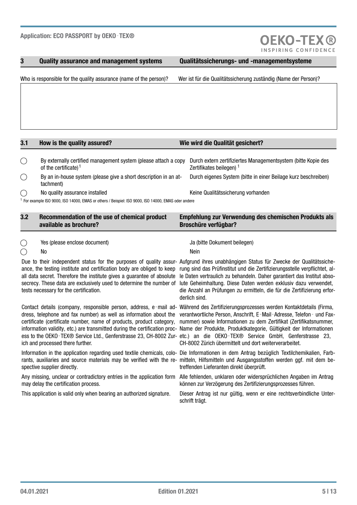### 3 Quality assurance and management systems Qualitätssicherungs- und -managementsysteme

**OEKO-TEX®** 

Who is responsible for the quality assurance (name of the person)? Wer ist für die Qualitätssicherung zuständig (Name der Person)?

No quality assurance installed Keine Qualitätssicherung vorhanden

3.1 How is the quality assured? Wie wird die Qualität gesichert?

1 For example ISO 9000, ISO 14000, EMAS or others / Beispiel: ISO 9000, ISO 14000, EMAS oder andere

By externally certified management system (please attach a copy

By an in-house system (please give a short description in an at-

| 3.2 | Recommendation of the use of chemical product<br>available as brochure? | Empfehlung zur Verwendung des chemischen Produkts als<br><b>Broschüre verfügbar?</b> |
|-----|-------------------------------------------------------------------------|--------------------------------------------------------------------------------------|
|     |                                                                         |                                                                                      |

Yes (please enclose document) Ja (bitte Dokument beilegen)

of the certificate) <sup>1</sup>

tachment)

### $\bigcap$

 $\left(\begin{array}{c} \end{array}\right)$ 

 $\bigcirc$ 

 $\bigcap$ 

 $\bigcap$ 

No Nein

ance, the testing institute and certification body are obliged to keep all data secret. Therefore the institute gives a guarantee of absolute secrecy. These data are exclusively used to determine the number of tests necessary for the certification.

dress, telephone and fax number) as well as information about the verantwortliche Person, Anschrift, E-Mail-Adresse, Telefon- und Faxcertificate (certificate number, name of products, product category, information validity, etc.) are transmitted during the certification proc-Name der Produkte, Produktkategorie, Gültigkeit der Informationen ess to the OEKO-TEX® Service Ltd., Genferstrasse 23, CH-8002 Zur- etc.) an die OEKO-TEX® Service GmbH, Genferstrasse 23, ich and processed there further.

rants, auxiliaries and source materials may be verified with the re-mitteln, Hilfsmitteln und Ausgangsstoffen werden ggf. mit dem bespective supplier directly.

Any missing, unclear or contradictory entries in the application form may delay the certification process.

Due to their independent status for the purposes of quality assur-Aufgrund ihres unabhängigen Status für Zwecke der Qualitätssicherung sind das Prüfinstitut und die Zertifizierungsstelle verpflichtet, alle Daten vertraulich zu behandeln. Daher garantiert das Institut absolute Geheimhaltung. Diese Daten werden exklusiv dazu verwendet, die Anzahl an Prüfungen zu ermitteln, die für die Zertifizierung erforderlich sind.

Durch extern zertifiziertes Managementsystem (bitte Kopie des

Durch eigenes System (bitte in einer Beilage kurz beschreiben)

Zertifikates beilegen)  $1$ 

Contact details (company, responsible person, address, e-mail ad- Während des Zertifizierungsprozesses werden Kontaktdetails (Firma, nummer) sowie Informationen zu dem Zertifikat (Zertifikatsnummer, CH-8002 Zürich übermittelt und dort weiterverarbeitet.

Information in the application regarding used textile chemicals, colo- Die Informationen in dem Antrag bezüglich Textilchemikalien, Farbtreffenden Lieferanten direkt überprüft.

> Alle fehlenden, unklaren oder widersprüchlichen Angaben im Antrag können zur Verzögerung des Zertifizierungsprozesses führen.

This application is valid only when bearing an authorized signature. Dieser Antrag ist nur gültig, wenn er eine rechtsverbindliche Unterschrift trägt.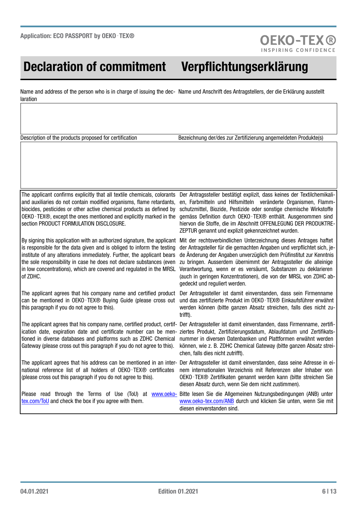## Declaration of commitment Verpflichtungserklärung

**OEKO-TEX®** 

Name and address of the person who is in charge of issuing the dec- Name und Anschrift des Antragstellers, der die Erklärung ausstellt laration

Description of the products proposed for certification Bezeichnung der/des zur Zertifizierung angemeldeten Produkte(s)

The applicant confirms explicitly that all textile chemicals, colorants and auxiliaries do not contain modified organisms, flame retardants, biocides, pesticides or other active chemical products as defined by OEKO‑TEX®, except the ones mentioned and explicitly marked in the section PRODUCT FORMULATION DISCLOSURE.

By signing this application with an authorized signature, the applicant Mit der rechtsverbindlichen Unterzeichnung dieses Antrages haftet is responsible for the data given and is obliged to inform the testing institute of any alterations immediately. Further, the applicant bears the sole responsibility in case he does not declare substances (even in low concentrations), which are covered and regulated in the MRSL of ZDHC.

The applicant agrees that his company name and certified product can be mentioned in OEKO-TEX® Buying Guide (please cross out this paragraph if you do not agree to this).

ication date, expiration date and certificate number can be mentioned in diverse databases and platforms such as ZDHC Chemical Gateway (please cross out this paragraph if you do not agree to this).

The applicant agrees that his address can be mentioned in an inter-Der Antragssteller ist damit einverstanden, dass seine Adresse in einational reference list of all holders of OEKO-TEX® certificates (please cross out this paragraph if you do not agree to this).

Der Antragssteller bestätigt explizit, dass keines der Textilchemikalien, Farbmitteln und Hilfsmitteln veränderte Organismen, Flammschutzmittel, Biozide, Pestizide oder sonstige chemische Wirkstoffe gemäss Definition durch OEKO‑TEX® enthält. Ausgenommen sind hiervon die Stoffe, die im Abschnitt OFFENLEGUNG DER PRODUKTRE-ZEPTUR genannt und explizit gekennzeichnet wurden.

der Antragsteller für die gemachten Angaben und verpflichtet sich, jede Änderung der Angaben unverzüglich dem Prüfinstitut zur Kenntnis zu bringen. Ausserdem übernimmt der Antragssteller die alleinige Verantwortung, wenn er es versäumt, Substanzen zu deklarieren (auch in geringen Konzentrationen), die von der MRSL von ZDHC abgedeckt und reguliert werden.

Der Antragssteller ist damit einverstanden, dass sein Firmenname und das zertifizierte Produkt im OEKO-TEX® Einkaufsführer erwähnt werden können (bitte ganzen Absatz streichen, falls dies nicht zutrifft).

The applicant agrees that his company name, certified product, certif- Der Antragssteller ist damit einverstanden, dass Firmenname, zertifiziertes Produkt, Zertifizierungsdatum, Ablaufdatum und Zertifikatsnummer in diversen Datenbanken und Plattformen erwähnt werden können, wie z. B. ZDHC Chemical Gateway (bitte ganzen Absatz streichen, falls dies nicht zutrifft).

> nem internationalen Verzeichnis mit Referenzen aller Inhaber von OEKO-TEX® Zertifikaten genannt werden kann (bitte streichen Sie diesen Absatz durch, wenn Sie dem nicht zustimmen).

Please read through the Terms of Use (ToU) at [www.oeko](http://www.oeko-tex.com/ToU)[tex.com/ToU](http://www.oeko-tex.com/ToU) and check the box if you agree with them. Bitte lesen Sie die Allgemeinen Nutzungsbedingungen (ANB) unter [www.oeko-tex.com/ANB](http://www.oeko-tex.com/ANB) durch und klicken Sie unten, wenn Sie mit diesen einverstanden sind.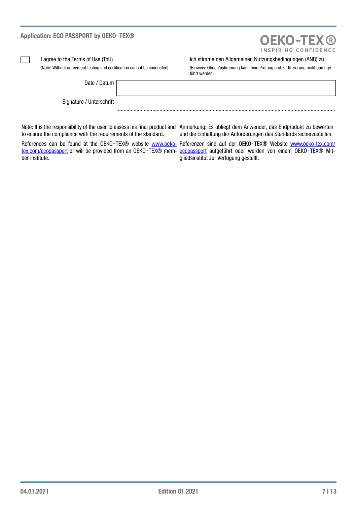| Application: ECO PASSPORT by OEKO-TEX® |                                                                         | <b>OEKO-TEX®</b><br>INSPIRING CONFIDENCE                                                                                                  |  |
|----------------------------------------|-------------------------------------------------------------------------|-------------------------------------------------------------------------------------------------------------------------------------------|--|
|                                        | l agree to the Terms of Use (ToU)                                       | Ich stimme den Allgemeinen Nutzungsbedingungen (ANB) zu.                                                                                  |  |
|                                        | (Note: Without agreement testing and certification cannot be conducted) | (Hinweis: Ohne Zustimmung kann eine Prüfung und Zertifizierung nicht durchge-<br>führt werden)                                            |  |
|                                        | Date / Datum                                                            |                                                                                                                                           |  |
|                                        | Signature / Unterschrift                                                |                                                                                                                                           |  |
|                                        |                                                                         | Note: It is the responsibility of the user to assess his final product and Anmerkung: Es obliegt dem Anwender, das Endprodukt zu bewerten |  |

to ensure the compliance with the requirements of the standard. References can be found at the OEKO-TEX® website www.oeko- Referenzen sind auf der OEKO-TEX® Website [www.oeko-tex.com/](http://www.oeko-tex.com/ecopassport)

ber institute.

Anmerkung: Es obliegt dem Anwender, das Endprodukt zu bewerten und die Einhaltung der Anforderungen des Standards sicherzustellen.

[tex.com/ecopassport](http://www.oeko-tex.com/ecopassport) or will be provided from an OEKO-TEX® mem- [ecopassport](http://www.oeko-tex.com/ecopassport) aufgeführt oder werden von einem OEKO-TEX® Mitgliedsinstitut zur Verfügung gestellt.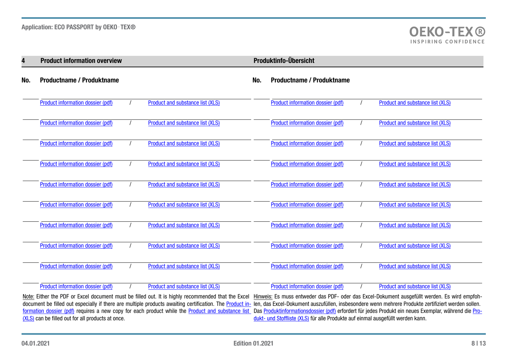| 4   | <b>Product information overview</b> |                                  |     | Produktinfo-Übersicht             |                                  |
|-----|-------------------------------------|----------------------------------|-----|-----------------------------------|----------------------------------|
| No. | <b>Productname / Produktname</b>    |                                  | No. | <b>Productname / Produktname</b>  |                                  |
|     | Product information dossier (pdf)   | Product and substance list (XLS) |     | Product information dossier (pdf) | Product and substance list (XLS) |
|     | Product information dossier (pdf)   | Product and substance list (XLS) |     | Product information dossier (pdf) | Product and substance list (XLS) |
|     | Product information dossier (pdf)   | Product and substance list (XLS) |     | Product information dossier (pdf) | Product and substance list (XLS) |
|     | Product information dossier (pdf)   | Product and substance list (XLS) |     | Product information dossier (pdf) | Product and substance list (XLS) |
|     | Product information dossier (pdf)   | Product and substance list (XLS) |     | Product information dossier (pdf) | Product and substance list (XLS) |
|     | Product information dossier (pdf)   | Product and substance list (XLS) |     | Product information dossier (pdf) | Product and substance list (XLS) |
|     | Product information dossier (pdf)   | Product and substance list (XLS) |     | Product information dossier (pdf) | Product and substance list (XLS) |
|     | Product information dossier (pdf)   | Product and substance list (XLS) |     | Product information dossier (pdf) | Product and substance list (XLS) |
|     | Product information dossier (pdf)   | Product and substance list (XLS) |     | Product information dossier (pdf) | Product and substance list (XLS) |
|     | Product information dossier (pdf)   | Product and substance list (XLS) |     | Product information dossier (pdf) | Product and substance list (XLS) |

Note: Either the PDF or Excel document must be filled out. It is highly recommended that the Excel Hinweis: Es muss entweder das PDF- oder das Excel-Dokument ausgefüllt werden. Es wird empfohdocument be filled out especially if there are multiple products awaiting certification. The <u>Product in-</u> len, das Excel-Dokument auszufüllen, insbesondere wenn mehrere Produkte zertifiziert werden sollen. [formation dossier \(pdf\)](http://documents.oeko-tex.com/product_information_dossier/en-de) requires a new copy for each product while the <u>Product and substance list</u> Das <u>Produktinformationsdossier (pdf</u>) erfordert für jedes Produkt ein neues Exemplar, während die <u>Pro-</u> [\(XLS\)](https://my.oeko-tex.com/customer-portal/public/application/ecopp/product-info-xls) can be filled out for all products at once. [dukt- und](https://my.oeko-tex.com/customer-portal/public/application/ecopp/product-info-xls) Stoffliste (XLS) für alle Produkte auf einmal ausgefüllt werden kann.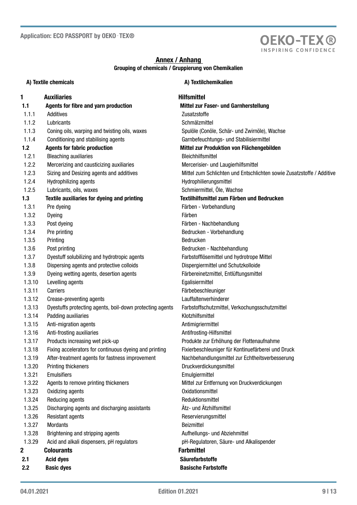

## Annex / Anhang Grouping of chemicals / Gruppierung von Chemikalien

| A) Textile chemicals |                                                          | A) Textilchemikalien                                                  |  |  |
|----------------------|----------------------------------------------------------|-----------------------------------------------------------------------|--|--|
| 1                    | <b>Auxiliaries</b>                                       | <b>Hilfsmittel</b>                                                    |  |  |
| 1.1                  | Agents for fibre and yarn production                     | Mittel zur Faser- und Garnherstellung                                 |  |  |
| 1.1.1                | Additives                                                | Zusatzstoffe                                                          |  |  |
| 1.1.2                | Lubricants                                               | Schmälzmittel                                                         |  |  |
| 1.1.3                | Coning oils, warping and twisting oils, waxes            | Spulöle (Conöle, Schär- und Zwirnöle), Wachse                         |  |  |
| 1.1.4                | Conditioning and stabilising agents                      | Garnbefeuchtungs- und Stabilisiermittel                               |  |  |
| 1.2                  | <b>Agents for fabric production</b>                      | Mittel zur Produktion von Flächengebilden                             |  |  |
| 1.2.1                | <b>Bleaching auxiliaries</b>                             | <b>Bleichhilfsmittel</b>                                              |  |  |
| 1.2.2                | Mercerizing and causticizing auxiliaries                 | Mercerisier- und Laugierhilfsmittel                                   |  |  |
| 1.2.3                | Sizing and Desizing agents and additives                 | Mittel zum Schlichten und Entschlichten sowie Zusatzstoffe / Additive |  |  |
| 1.2.4                | Hydrophilizing agents                                    | Hydrophilierungsmittel                                                |  |  |
| 1.2.5                | Lubricants, oils, waxes                                  | Schmiermittel, Öle, Wachse                                            |  |  |
| 1.3                  | Textile auxiliaries for dyeing and printing              | Textilhilfsmittel zum Färben und Bedrucken                            |  |  |
| 1.3.1                | Pre dyeing                                               | Färben - Vorbehandlung                                                |  |  |
| 1.3.2                | Dyeing                                                   | Färben                                                                |  |  |
| 1.3.3                | Post dyeing                                              | Färben - Nachbehandlung                                               |  |  |
| 1.3.4                | Pre printing                                             | Bedrucken - Vorbehandlung                                             |  |  |
| 1.3.5                | Printing                                                 | Bedrucken                                                             |  |  |
| 1.3.6                | Post printing                                            | Bedrucken - Nachbehandlung                                            |  |  |
| 1.3.7                | Dyestuff solubilizing and hydrotropic agents             | Farbstofflösemittel und hydrotrope Mittel                             |  |  |
| 1.3.8                | Dispersing agents and protective colloids                | Dispergiermittel und Schutzkolloide                                   |  |  |
| 1.3.9                | Dyeing wetting agents, desertion agents                  | Färbereinetzmittel, Entlüftungsmittel                                 |  |  |
| 1.3.10               | Levelling agents                                         | Egalisiermittel                                                       |  |  |
| 1.3.11               | Carriers                                                 | Färbebeschleuniger                                                    |  |  |
| 1.3.12               | Crease-preventing agents                                 | Lauffaltenverhinderer                                                 |  |  |
| 1.3.13               | Dyestuffs protecting agents, boil-down protecting agents | Farbstoffschutzmittel, Verkochungsschutzmittel                        |  |  |
| 1.3.14               | Padding auxiliaries                                      | Klotzhilfsmittel                                                      |  |  |
| 1.3.15               | Anti-migration agents                                    | Antimigriermittel                                                     |  |  |
| 1.3.16               | Anti-frosting auxiliaries                                | Antifrosting-Hilfsmittel                                              |  |  |
| 1.3.17               | Products increasing wet pick-up                          | Produkte zur Erhöhung der Flottenaufnahme                             |  |  |
| 1.3.18               | Fixing accelerators for continuous dyeing and printing   | Fixierbeschleuniger für Kontinuefärberei und Druck                    |  |  |
| 1.3.19               | After-treatment agents for fastness improvement          | Nachbehandlungsmittel zur Echtheitsverbesserung                       |  |  |
| 1.3.20               | Printing thickeners                                      | Druckverdickungsmittel                                                |  |  |
| 1.3.21               | <b>Emulsifiers</b>                                       | Emulgiermittel                                                        |  |  |
| 1.3.22               | Agents to remove printing thickeners                     | Mittel zur Entfernung von Druckverdickungen                           |  |  |
| 1.3.23               | Oxidizing agents                                         | Oxidationsmittel                                                      |  |  |
| 1.3.24               | Reducing agents                                          | Reduktionsmittel<br>Ätz- und Ätzhilfsmittel                           |  |  |
| 1.3.25               | Discharging agents and discharging assistants            |                                                                       |  |  |
| 1.3.26               | <b>Resistant agents</b>                                  | Reservierungsmittel<br>Beizmittel                                     |  |  |
| 1.3.27<br>1.3.28     | Mordants                                                 |                                                                       |  |  |
| 1.3.29               | Brightening and stripping agents                         | Aufhellungs- und Abziehmittel                                         |  |  |
|                      | Acid and alkali dispensers, pH regulators                | pH-Regulatoren, Säure- und Alkalispender                              |  |  |
| 2                    | <b>Colourants</b>                                        | <b>Farbmittel</b>                                                     |  |  |
| 2.1                  | <b>Acid dyes</b>                                         | <b>Säurefarbstoffe</b>                                                |  |  |
| 2.2                  | <b>Basic dyes</b>                                        | <b>Basische Farbstoffe</b>                                            |  |  |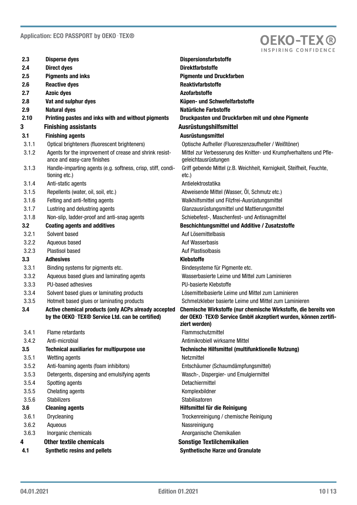

| 2.3     | <b>Disperse dyes</b>                                                                                                | <b>Dispersionsfarbstoffe</b>                                                                                                                      |
|---------|---------------------------------------------------------------------------------------------------------------------|---------------------------------------------------------------------------------------------------------------------------------------------------|
| 2.4     | <b>Direct dyes</b>                                                                                                  | <b>Direktfarbstoffe</b>                                                                                                                           |
| 2.5     | <b>Pigments and inks</b>                                                                                            | <b>Pigmente und Druckfarben</b>                                                                                                                   |
| 2.6     | <b>Reactive dyes</b>                                                                                                | <b>Reaktivfarbstoffe</b>                                                                                                                          |
| 2.7     | <b>Azoic dyes</b>                                                                                                   | <b>Azofarbstoffe</b>                                                                                                                              |
| 2.8     | Vat and sulphur dyes                                                                                                | Küpen- und Schwefelfarbstoffe                                                                                                                     |
| 2.9     | <b>Natural dyes</b>                                                                                                 | <b>Natürliche Farbstoffe</b>                                                                                                                      |
| 2.10    | Printing pastes and inks with and without pigments                                                                  | Druckpasten und Druckfarben mit und ohne Pigmente                                                                                                 |
| 3       | <b>Finishing assistants</b>                                                                                         | Ausrüstungshilfsmittel                                                                                                                            |
| 3.1     | <b>Finishing agents</b>                                                                                             | Ausrüstungsmittel                                                                                                                                 |
| 3.1.1   | Optical brighteners (fluorescent brighteners)                                                                       | Optische Aufheller (Fluoreszenzaufheller / Weißtöner)                                                                                             |
| 3.1.2   | Agents for the improvement of crease and shrink resist-<br>ance and easy-care finishes                              | Mittel zur Verbesserung des Knitter- und Krumpfverhaltens und Pfle-<br>geleichtausrüstungen                                                       |
| 3.1.3   | Handle-imparting agents (e.g. softness, crisp, stiff, condi-<br>tioning etc.)                                       | Griff gebende Mittel (z.B. Weichheit, Kernigkeit, Steifheit, Feuchte,<br>$etc.$ )                                                                 |
| 3.1.4   | Anti-static agents                                                                                                  | Antielektrostatika                                                                                                                                |
| 3.1.5   | Repellents (water, oil, soil, etc.)                                                                                 | Abweisende Mittel (Wasser, Öl, Schmutz etc.)                                                                                                      |
| 3.1.6   | Felting and anti-felting agents                                                                                     | Walkhilfsmittel und Filzfrei-Ausrüstungsmittel                                                                                                    |
| 3.1.7   | Lustring and delustring agents                                                                                      | Glanzausrüstungsmittel und Mattierungsmittel                                                                                                      |
| 3.1.8   | Non-slip, ladder-proof and anti-snag agents                                                                         | Schiebefest-, Maschenfest- und Antisnagmittel                                                                                                     |
| $3.2\,$ | <b>Coating agents and additives</b>                                                                                 | <b>Beschichtungsmittel und Additive / Zusatzstoffe</b>                                                                                            |
| 3.2.1   | Solvent based                                                                                                       | Auf Lösemittelbasis                                                                                                                               |
| 3.2.2   | Aqueous based                                                                                                       | Auf Wasserbasis                                                                                                                                   |
| 3.2.3   | <b>Plastisol based</b>                                                                                              | Auf Plastisolbasis                                                                                                                                |
| 3.3     | <b>Adhesives</b>                                                                                                    | <b>Klebstoffe</b>                                                                                                                                 |
| 3.3.1   | Binding systems for pigments etc.                                                                                   | Bindesysteme für Pigmente etc.                                                                                                                    |
| 3.3.2   | Aqueous based glues and laminating agents                                                                           | Wasserbasierte Leime und Mittel zum Laminieren                                                                                                    |
| 3.3.3   | PU-based adhesives                                                                                                  | PU-basierte Klebstoffe                                                                                                                            |
| 3.3.4   | Solvent based glues or laminating products                                                                          | Lösemittelbasierte Leime und Mittel zum Laminieren                                                                                                |
| 3.3.5   | Hotmelt based glues or laminating products                                                                          | Schmelzkleber basierte Leime und Mittel zum Laminieren                                                                                            |
| 3.4     | Active chemical products (only ACPs already accepted<br>by the OEKO-TEX <sup>®</sup> Service Ltd. can be certified) | Chemische Wirkstoffe (nur chemische Wirkstoffe, die bereits von<br>der OEKO-TEX® Service GmbH akzeptiert wurden, können zertifi-<br>ziert werden) |
| 3.4.1   | Flame retardants                                                                                                    | Flammschutzmittel                                                                                                                                 |
| 3.4.2   | Anti-microbial                                                                                                      | Antimikrobiell wirksame Mittel                                                                                                                    |
| 3.5     | <b>Technical auxiliaries for multipurpose use</b>                                                                   | Technische Hilfsmittel (multifunktionelle Nutzung)                                                                                                |
| 3.5.1   | Wetting agents                                                                                                      | Netzmittel                                                                                                                                        |
| 3.5.2   | Anti-foaming agents (foam inhibitors)                                                                               | Entschäumer (Schaumdämpfungsmittel)                                                                                                               |
| 3.5.3   | Detergents, dispersing and emulsifying agents                                                                       | Wasch-, Dispergier- und Emulgiermittel                                                                                                            |
| 3.5.4   | Spotting agents                                                                                                     | Detachiermittel                                                                                                                                   |
| 3.5.5   | Chelating agents                                                                                                    | Komplexbildner                                                                                                                                    |
| 3.5.6   | <b>Stabilizers</b>                                                                                                  | Stabilisatoren                                                                                                                                    |
| 3.6     | <b>Cleaning agents</b>                                                                                              | Hilfsmittel für die Reinigung                                                                                                                     |
| 3.6.1   | Drycleaning                                                                                                         | Trockenreinigung / chemische Reinigung                                                                                                            |
| 3.6.2   | Aqueous                                                                                                             | Nassreinigung                                                                                                                                     |
| 3.6.3   | Inorganic chemicals                                                                                                 | Anorganische Chemikalien                                                                                                                          |
| 4       | <b>Other textile chemicals</b>                                                                                      | <b>Sonstige Textilchemikalien</b>                                                                                                                 |
| 4.1     | <b>Synthetic resins and pellets</b>                                                                                 | <b>Synthetische Harze und Granulate</b>                                                                                                           |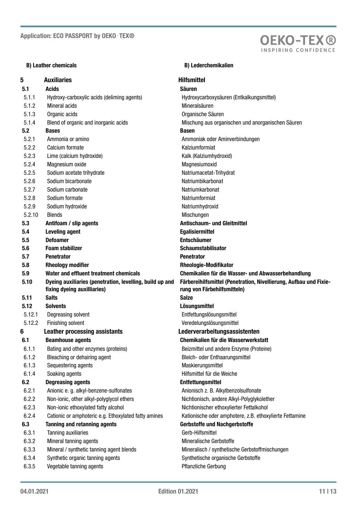### B) Leather chemicals B) Leather chemicals

### 5 Auxiliaries **Auxiliaries Hilfsmittel** 5.1 Acids **Säuren** Säuren Säuren Säuren Säuren Säuren Säuren Säuren Säuren Säuren Säuren Säuren Säuren Säuren S 5.1.1 Hydroxy-carboxylic acids (deliming agents) Hydroxycarboxysäuren (Entkalkungsmittel) 5.1.2 Mineral acids and action of the Mineral Sauren 5.1.3 Organic acids Organische Säuren 5.1.4 Blend of organic and inorganic acids Mischung aus organischen und anorganischen Säuren 5.2 Bases Basen and the Basen Basen 5.2.1 Ammonia or amino Ammoniak oder Aminverbindungen 5.2.2 Calcium formate Kalziumformiat 5.2.3 Lime (calcium hydroxide) Contract Contract Calcium hydroxide Kalk (Kalziumhydroxid) 5.2.4 Magnesium oxide **Magnesiumoxid** Magnesiumoxid 5.2.5 Sodium acetate trihydrate Natriumacetat-Trihydrat 5.2.6 Sodium bicarbonate Solution of the Natriumbikarbonat 5.2.7 Sodium carbonate Natriumkarbonat 5.2.8 Sodium formate Natriumformiat 5.2.9 Sodium hydroxide Natriumhydroxid 5.2.10 Blends Mischungen 5.3 Antifoam / slip agents Antischaum- und Gleitmittel 5.4 Leveling agent Egalisiermittel 5.5 Defoamer Entschäumer 5.6 Foam stabilizer Schaumstabilisator Schaumstabilisator 5.7 Penetrator Penetrator 5.8 Rheology modifier **6.8** Rheologie-Modifikator 5.9 Water and effluent treatment chemicals Chemikalien für die Wasser- und Abwasserbehandlung 5.10 Dyeing auxiliaries (penetration, levelling, build up and fixing dyeing auxilliaries) 5.11 Salts Salze 5.12 Solvents Lösungsmittel 5.12.1 Degreasing solvent Entfettungslösungsmittel 5.12.2 Finishing solvent Veredelungslösungsmittel 6 Leather processing assistants Lederverarbeitungsassistenten 6.1 Beamhouse agents Chemikalien für die Wasserwerkstatt 6.1.1 Bating and other enzymes (proteins) Beizmittel und andere Enzyme (Proteine) 6.1.2 Bleaching or dehairing agent Bleich- oder Enthaarungsmittel 6.1.3 Sequestering agents **Maskierungsmittel** Maskierungsmittel 6.1.4 Soaking agents **Hilfsmittel für die Weiche** 6.2 Degreasing agents Entfettungsmittel 6.2.1 Anionic e. g. alkyl-benzene-sulfonates **Anionisch z. B. Alkylbenzolsulfonate** 6.2.2 Non-ionic, other alkyl-polyglycol ethers Nichtionisch, andere Alkyl-Polyglykolether 6.2.3 Non-ionic ethoxylated fatty alcohol Nichtionischer ethoxylierter Fettalkohol 6.2.4 Cationic or amphoteric e.g. Ethoxylated fatty amines Kationische oder amphotere, z.B. ethoxylierte Fettamine 6.3 Tanning and retanning agents Gerbstoffe und Nachgerbstoffe 6.3.1 Tanning auxiliaries Gerb-Hilfsmittel 6.3.2 Mineral tanning agents Mineralische Gerbstoffe 6.3.3 Mineral / synthetic tanning agent blends Mineralisch / synthetische Gerbstoffmischungen 6.3.4 Synthetic organic tanning agents Synthetische organische Gerbstoffe 6.3.5 Vegetable tanning agents 3flanziche Gerbung bei der Pflanzliche Gerbung

Färbereihilfsmittel (Penetration, Nivellierung, Aufbau und Fixierung von Färbehilfsmitteln)

**OEKO-TEX®** INSPIRING CONFIDENC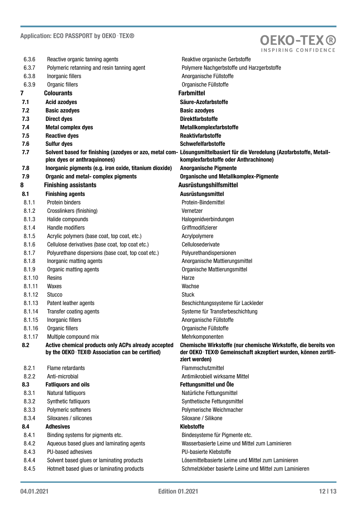

| 6.3.6  | Reactive organic tanning agents                                                                       | Reaktive organische Gerbstoffe                                                                                                                                   |
|--------|-------------------------------------------------------------------------------------------------------|------------------------------------------------------------------------------------------------------------------------------------------------------------------|
| 6.3.7  | Polymeric retanning and resin tanning agent                                                           | Polymere Nachgerbstoffe und Harzgerbstoffe                                                                                                                       |
| 6.3.8  | Inorganic fillers                                                                                     | Anorganische Füllstoffe                                                                                                                                          |
| 6.3.9  | Organic fillers                                                                                       | Organische Füllstoffe                                                                                                                                            |
| 7      | <b>Colourants</b>                                                                                     | <b>Farbmittel</b>                                                                                                                                                |
| 7.1    | <b>Acid azodyes</b>                                                                                   | Säure-Azofarbstoffe                                                                                                                                              |
| 7.2    | <b>Basic azodyes</b>                                                                                  | <b>Basic azodyes</b>                                                                                                                                             |
| 7.3    | <b>Direct dyes</b>                                                                                    | <b>Direktfarbstoffe</b>                                                                                                                                          |
| 7.4    | <b>Metal complex dyes</b>                                                                             | Metallkomplexfarbstoffe                                                                                                                                          |
| 7.5    | <b>Reactive dyes</b>                                                                                  | <b>Reaktivfarbstoffe</b>                                                                                                                                         |
| 7.6    | <b>Sulfur dyes</b>                                                                                    | <b>Schwefelfarbstoffe</b>                                                                                                                                        |
| 7.7    | plex dyes or anthraquinones)                                                                          | Solvent based for finishing (azodyes or azo, metal com- Lösungsmittelbasiert für die Veredelung (Azofarbstoffe, Metall-<br>komplexfarbstoffe oder Anthrachinone) |
| 7.8    | Inorganic pigments (e.g. iron oxide, titanium dioxide)                                                | <b>Anorganische Pigmente</b>                                                                                                                                     |
| 7.9    | <b>Organic and metal- complex pigments</b>                                                            | <b>Organische und Metallkomplex-Pigmente</b>                                                                                                                     |
| 8      | <b>Finishing assistants</b>                                                                           | Ausrüstungshilfsmittel                                                                                                                                           |
| 8.1    | <b>Finishing agents</b>                                                                               | Ausrüstungsmittel                                                                                                                                                |
| 8.1.1  | Protein binders                                                                                       | Protein-Bindemittel                                                                                                                                              |
| 8.1.2  | Crosslinkers (finishing)                                                                              | Vernetzer                                                                                                                                                        |
| 8.1.3  | Halide compounds                                                                                      | Halogenidverbindungen                                                                                                                                            |
| 8.1.4  | Handle modifiers                                                                                      | Griffmodifizierer                                                                                                                                                |
| 8.1.5  | Acrylic polymers (base coat, top coat, etc.)                                                          | Acrylpolymere                                                                                                                                                    |
| 8.1.6  | Cellulose derivatives (base coat, top coat etc.)                                                      | Cellulosederivate                                                                                                                                                |
| 8.1.7  | Polyurethane dispersions (base coat, top coat etc.)                                                   | Polyurethandispersionen                                                                                                                                          |
| 8.1.8  | Inorganic matting agents                                                                              | Anorganische Mattierungsmittel                                                                                                                                   |
| 8.1.9  | Organic matting agents                                                                                | Organische Mattierungsmittel                                                                                                                                     |
| 8.1.10 | Resins                                                                                                | Harze                                                                                                                                                            |
| 8.1.11 | Waxes                                                                                                 | Wachse                                                                                                                                                           |
| 8.1.12 | <b>Stucco</b>                                                                                         | <b>Stuck</b>                                                                                                                                                     |
| 8.1.13 | Patent leather agents                                                                                 | Beschichtungssysteme für Lackleder                                                                                                                               |
| 8.1.14 | Transfer coating agents                                                                               | Systeme für Transferbeschichtung                                                                                                                                 |
| 8.1.15 | Inorganic fillers                                                                                     | Anorganische Füllstoffe                                                                                                                                          |
| 8.1.16 | Organic fillers                                                                                       | Organische Füllstoffe                                                                                                                                            |
| 8.1.17 | Multiple compound mix                                                                                 | Mehrkomponenten                                                                                                                                                  |
| 8.2    | Active chemical products only ACPs already accepted<br>by the OEKO-TEX® Association can be certified) | Chemische Wirkstoffe (nur chemische Wirkstoffe, die bereits von<br>der OEKO-TEX® Gemeinschaft akzeptiert wurden, können zertifi-<br>ziert werden)                |
| 8.2.1  | Flame retardants                                                                                      | Flammschutzmittel                                                                                                                                                |
| 8.2.2  | Anti-microbial                                                                                        | Antimikrobiell wirksame Mittel                                                                                                                                   |
| 8.3    | <b>Fatliquors and oils</b>                                                                            | Fettungsmittel und Öle                                                                                                                                           |
| 8.3.1  | Natural fatliquors                                                                                    | Natürliche Fettungsmittel                                                                                                                                        |
| 8.3.2  | Synthetic fatliquors                                                                                  | Synthetische Fettungsmittel                                                                                                                                      |
| 8.3.3  | Polymeric softeners                                                                                   | Polymerische Weichmacher                                                                                                                                         |
| 8.3.4  | Siloxanes / silicones                                                                                 | Siloxane / Silikone                                                                                                                                              |
| 8.4    | <b>Adhesives</b>                                                                                      | <b>Klebstoffe</b>                                                                                                                                                |
| 8.4.1  | Binding systems for pigments etc.                                                                     | Bindesysteme für Pigmente etc.                                                                                                                                   |
| 8.4.2  | Aqueous based glues and laminating agents                                                             | Wasserbasierte Leime und Mittel zum Laminieren                                                                                                                   |
| 8.4.3  | PU-based adhesives                                                                                    | PU-basierte Klebstoffe                                                                                                                                           |
| 8.4.4  | Solvent based glues or laminating products                                                            | Lösemittelbasierte Leime und Mittel zum Laminieren                                                                                                               |
| 8.4.5  | Hotmelt based glues or laminating products                                                            | Schmelzkleber basierte Leime und Mittel zum Laminieren                                                                                                           |